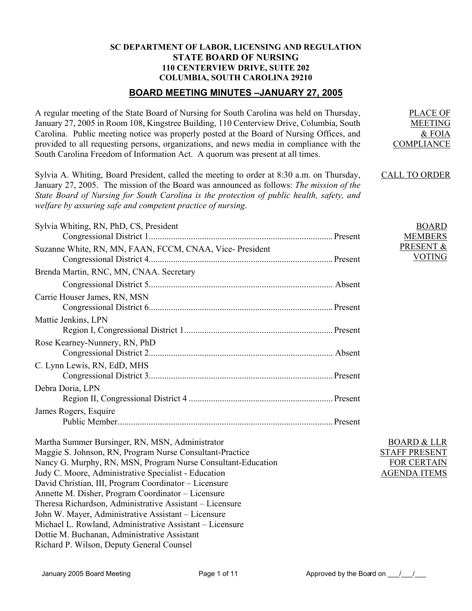## **SC DEPARTMENT OF LABOR, LICENSING AND REGULATION STATE BOARD OF NURSING 110 CENTERVIEW DRIVE, SUITE 202 COLUMBIA, SOUTH CAROLINA 29210**

# **BOARD MEETING MINUTES –JANUARY 27, 2005**

A regular meeting of the State Board of Nursing for South Carolina was held on Thursday, January 27, 2005 in Room 108, Kingstree Building, 110 Centerview Drive, Columbia, South Carolina. Public meeting notice was properly posted at the Board of Nursing Offices, and provided to all requesting persons, organizations, and news media in compliance with the South Carolina Freedom of Information Act. A quorum was present at all times.

Sylvia A. Whiting, Board President, called the meeting to order at 8:30 a.m. on Thursday, January 27, 2005. The mission of the Board was announced as follows: *The mission of the State Board of Nursing for South Carolina is the protection of public health, safety, and welfare by assuring safe and competent practice of nursing*.

| Sylvia Whiting, RN, PhD, CS, President                  |  |
|---------------------------------------------------------|--|
|                                                         |  |
| Suzanne White, RN, MN, FAAN, FCCM, CNAA, Vice-President |  |
|                                                         |  |
| Brenda Martin, RNC, MN, CNAA. Secretary                 |  |
|                                                         |  |
| Carrie Houser James, RN, MSN                            |  |
|                                                         |  |
| Mattie Jenkins, LPN                                     |  |
|                                                         |  |
| Rose Kearney-Nunnery, RN, PhD                           |  |
|                                                         |  |
| C. Lynn Lewis, RN, EdD, MHS                             |  |
|                                                         |  |
| Debra Doria, LPN                                        |  |
|                                                         |  |
| James Rogers, Esquire                                   |  |
|                                                         |  |

Martha Summer Bursinger, RN, MSN, Administrator Maggie S. Johnson, RN, Program Nurse Consultant-Practice Nancy G. Murphy, RN, MSN, Program Nurse Consultant-Education Judy C. Moore, Administrative Specialist - Education David Christian, III, Program Coordinator – Licensure Annette M. Disher, Program Coordinator – Licensure Theresa Richardson, Administrative Assistant – Licensure John W. Mayer, Administrative Assistant – Licensure Michael L. Rowland, Administrative Assistant – Licensure Dottie M. Buchanan, Administrative Assistant Richard P. Wilson, Deputy General Counsel

BOARD & LLR STAFF PRESENT FOR CERTAIN AGENDA ITEMS

PLACE OF MEETING & FOIA

BOARD MEMBERS PRESENT & VOTING

COMPLIANCE

CALL TO ORDER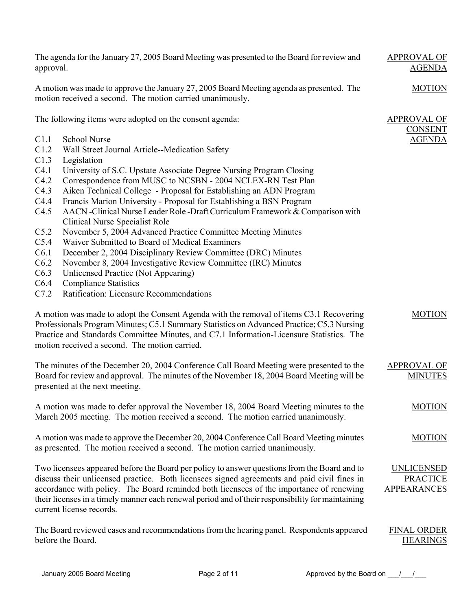| approval.    | The agenda for the January 27, 2005 Board Meeting was presented to the Board for review and                                                                                                                                                                                                                                                                                                                             | <b>APPROVAL OF</b><br><b>AGENDA</b>                 |
|--------------|-------------------------------------------------------------------------------------------------------------------------------------------------------------------------------------------------------------------------------------------------------------------------------------------------------------------------------------------------------------------------------------------------------------------------|-----------------------------------------------------|
|              | A motion was made to approve the January 27, 2005 Board Meeting agenda as presented. The<br>motion received a second. The motion carried unanimously.                                                                                                                                                                                                                                                                   | <b>MOTION</b>                                       |
|              | The following items were adopted on the consent agenda:                                                                                                                                                                                                                                                                                                                                                                 | <b>APPROVAL OF</b><br><b>CONSENT</b>                |
| C1.1         | <b>School Nurse</b>                                                                                                                                                                                                                                                                                                                                                                                                     | <b>AGENDA</b>                                       |
| C1.2         | Wall Street Journal Article--Medication Safety                                                                                                                                                                                                                                                                                                                                                                          |                                                     |
| C1.3         | Legislation                                                                                                                                                                                                                                                                                                                                                                                                             |                                                     |
| C4.1         | University of S.C. Upstate Associate Degree Nursing Program Closing                                                                                                                                                                                                                                                                                                                                                     |                                                     |
| C4.2         | Correspondence from MUSC to NCSBN - 2004 NCLEX-RN Test Plan                                                                                                                                                                                                                                                                                                                                                             |                                                     |
| C4.3         | Aiken Technical College - Proposal for Establishing an ADN Program                                                                                                                                                                                                                                                                                                                                                      |                                                     |
| C4.4         | Francis Marion University - Proposal for Establishing a BSN Program                                                                                                                                                                                                                                                                                                                                                     |                                                     |
| C4.5         | AACN -Clinical Nurse Leader Role -Draft Curriculum Framework & Comparison with                                                                                                                                                                                                                                                                                                                                          |                                                     |
|              | <b>Clinical Nurse Specialist Role</b>                                                                                                                                                                                                                                                                                                                                                                                   |                                                     |
| C5.2         | November 5, 2004 Advanced Practice Committee Meeting Minutes                                                                                                                                                                                                                                                                                                                                                            |                                                     |
| C5.4         | Waiver Submitted to Board of Medical Examiners                                                                                                                                                                                                                                                                                                                                                                          |                                                     |
| C6.1         | December 2, 2004 Disciplinary Review Committee (DRC) Minutes                                                                                                                                                                                                                                                                                                                                                            |                                                     |
| C6.2<br>C6.3 | November 8, 2004 Investigative Review Committee (IRC) Minutes                                                                                                                                                                                                                                                                                                                                                           |                                                     |
| C6.4         | Unlicensed Practice (Not Appearing)<br><b>Compliance Statistics</b>                                                                                                                                                                                                                                                                                                                                                     |                                                     |
| C7.2         | Ratification: Licensure Recommendations                                                                                                                                                                                                                                                                                                                                                                                 |                                                     |
|              | A motion was made to adopt the Consent Agenda with the removal of items C3.1 Recovering<br>Professionals Program Minutes; C5.1 Summary Statistics on Advanced Practice; C5.3 Nursing<br>Practice and Standards Committee Minutes, and C7.1 Information-Licensure Statistics. The<br>motion received a second. The motion carried.                                                                                       | <b>MOTION</b>                                       |
|              | The minutes of the December 20, 2004 Conference Call Board Meeting were presented to the<br>Board for review and approval. The minutes of the November 18, 2004 Board Meeting will be<br>presented at the next meeting.                                                                                                                                                                                                 | <b>APPROVAL OF</b><br><b>MINUTES</b>                |
|              | A motion was made to defer approval the November 18, 2004 Board Meeting minutes to the<br>March 2005 meeting. The motion received a second. The motion carried unanimously.                                                                                                                                                                                                                                             | <b>MOTION</b>                                       |
|              | A motion was made to approve the December 20, 2004 Conference Call Board Meeting minutes<br>as presented. The motion received a second. The motion carried unanimously.                                                                                                                                                                                                                                                 | <b>MOTION</b>                                       |
|              | Two licensees appeared before the Board per policy to answer questions from the Board and to<br>discuss their unlicensed practice. Both licensees signed agreements and paid civil fines in<br>accordance with policy. The Board reminded both licensees of the importance of renewing<br>their licenses in a timely manner each renewal period and of their responsibility for maintaining<br>current license records. | UNLICENSED<br><b>PRACTICE</b><br><b>APPEARANCES</b> |
|              | The Board reviewed cases and recommendations from the hearing panel. Respondents appeared<br>before the Board.                                                                                                                                                                                                                                                                                                          | <b>FINAL ORDER</b><br><b>HEARINGS</b>               |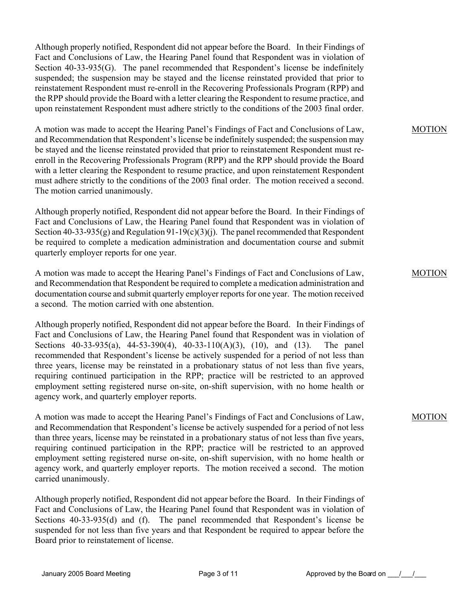Although properly notified, Respondent did not appear before the Board. In their Findings of Fact and Conclusions of Law, the Hearing Panel found that Respondent was in violation of Section 40-33-935(G). The panel recommended that Respondent's license be indefinitely suspended; the suspension may be stayed and the license reinstated provided that prior to reinstatement Respondent must re-enroll in the Recovering Professionals Program (RPP) and the RPP should provide the Board with a letter clearing the Respondent to resume practice, and upon reinstatement Respondent must adhere strictly to the conditions of the 2003 final order.

A motion was made to accept the Hearing Panel's Findings of Fact and Conclusions of Law, and Recommendation that Respondent's license be indefinitely suspended; the suspension may be stayed and the license reinstated provided that prior to reinstatement Respondent must reenroll in the Recovering Professionals Program (RPP) and the RPP should provide the Board with a letter clearing the Respondent to resume practice, and upon reinstatement Respondent must adhere strictly to the conditions of the 2003 final order. The motion received a second. The motion carried unanimously.

Although properly notified, Respondent did not appear before the Board. In their Findings of Fact and Conclusions of Law, the Hearing Panel found that Respondent was in violation of Section 40-33-935(g) and Regulation  $91-19(c)(3)(i)$ . The panel recommended that Respondent be required to complete a medication administration and documentation course and submit quarterly employer reports for one year.

A motion was made to accept the Hearing Panel's Findings of Fact and Conclusions of Law, and Recommendation that Respondent be required to complete a medication administration and documentation course and submit quarterly employer reports for one year. The motion received a second. The motion carried with one abstention.

Although properly notified, Respondent did not appear before the Board. In their Findings of Fact and Conclusions of Law, the Hearing Panel found that Respondent was in violation of Sections 40-33-935(a), 44-53-390(4), 40-33-110(A)(3), (10), and (13). The panel recommended that Respondent's license be actively suspended for a period of not less than three years, license may be reinstated in a probationary status of not less than five years, requiring continued participation in the RPP; practice will be restricted to an approved employment setting registered nurse on-site, on-shift supervision, with no home health or agency work, and quarterly employer reports.

A motion was made to accept the Hearing Panel's Findings of Fact and Conclusions of Law, and Recommendation that Respondent's license be actively suspended for a period of not less than three years, license may be reinstated in a probationary status of not less than five years, requiring continued participation in the RPP; practice will be restricted to an approved employment setting registered nurse on-site, on-shift supervision, with no home health or agency work, and quarterly employer reports. The motion received a second. The motion carried unanimously.

Although properly notified, Respondent did not appear before the Board. In their Findings of Fact and Conclusions of Law, the Hearing Panel found that Respondent was in violation of Sections 40-33-935(d) and (f). The panel recommended that Respondent's license be suspended for not less than five years and that Respondent be required to appear before the Board prior to reinstatement of license.

MOTION

MOTION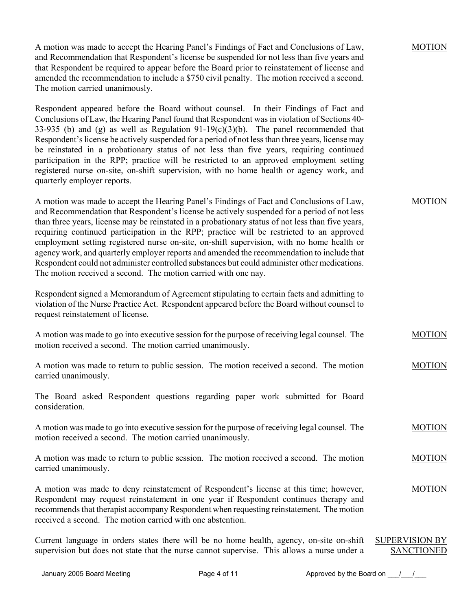A motion was made to accept the Hearing Panel's Findings of Fact and Conclusions of Law, and Recommendation that Respondent's license be suspended for not less than five years and that Respondent be required to appear before the Board prior to reinstatement of license and amended the recommendation to include a \$750 civil penalty. The motion received a second. The motion carried unanimously.

Respondent appeared before the Board without counsel. In their Findings of Fact and Conclusions of Law, the Hearing Panel found that Respondent was in violation of Sections 40- 33-935 (b) and (g) as well as Regulation  $91-19(c)(3)(b)$ . The panel recommended that Respondent's license be actively suspended for a period of not less than three years, license may be reinstated in a probationary status of not less than five years, requiring continued participation in the RPP; practice will be restricted to an approved employment setting registered nurse on-site, on-shift supervision, with no home health or agency work, and quarterly employer reports.

A motion was made to accept the Hearing Panel's Findings of Fact and Conclusions of Law, and Recommendation that Respondent's license be actively suspended for a period of not less than three years, license may be reinstated in a probationary status of not less than five years, requiring continued participation in the RPP; practice will be restricted to an approved employment setting registered nurse on-site, on-shift supervision, with no home health or agency work, and quarterly employer reports and amended the recommendation to include that Respondent could not administer controlled substances but could administer other medications. The motion received a second. The motion carried with one nay.

Respondent signed a Memorandum of Agreement stipulating to certain facts and admitting to violation of the Nurse Practice Act. Respondent appeared before the Board without counsel to request reinstatement of license.

| A motion was made to go into executive session for the purpose of receiving legal counsel. The | <b>MOTION</b> |
|------------------------------------------------------------------------------------------------|---------------|
| motion received a second. The motion carried unanimously.                                      |               |

A motion was made to return to public session. The motion received a second. The motion carried unanimously. MOTION

The Board asked Respondent questions regarding paper work submitted for Board consideration.

A motion was made to go into executive session for the purpose of receiving legal counsel. The motion received a second. The motion carried unanimously. MOTION

A motion was made to return to public session. The motion received a second. The motion carried unanimously. MOTION

A motion was made to deny reinstatement of Respondent's license at this time; however, Respondent may request reinstatement in one year if Respondent continues therapy and recommends that therapist accompany Respondent when requesting reinstatement. The motion received a second. The motion carried with one abstention.

Current language in orders states there will be no home health, agency, on-site on-shift supervision but does not state that the nurse cannot supervise. This allows a nurse under a SUPERVISION BY SANCTIONED

MOTION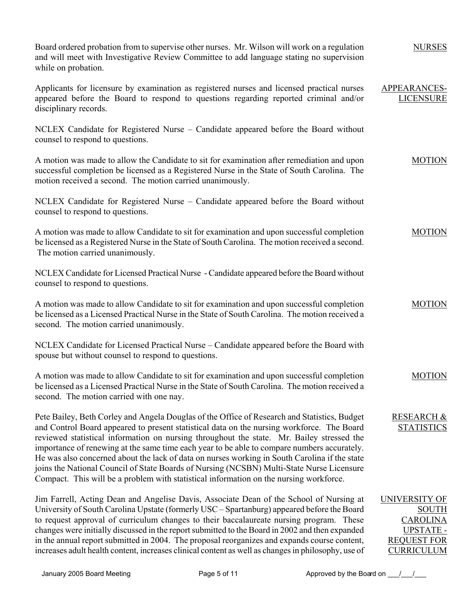| Board ordered probation from to supervise other nurses. Mr. Wilson will work on a regulation<br>and will meet with Investigative Review Committee to add language stating no supervision<br>while on probation.                                                                                                                                                                                                                                                                                                                                                                                                                                                                | <b>NURSES</b>                                                                                                   |
|--------------------------------------------------------------------------------------------------------------------------------------------------------------------------------------------------------------------------------------------------------------------------------------------------------------------------------------------------------------------------------------------------------------------------------------------------------------------------------------------------------------------------------------------------------------------------------------------------------------------------------------------------------------------------------|-----------------------------------------------------------------------------------------------------------------|
| Applicants for licensure by examination as registered nurses and licensed practical nurses<br>appeared before the Board to respond to questions regarding reported criminal and/or<br>disciplinary records.                                                                                                                                                                                                                                                                                                                                                                                                                                                                    | APPEARANCES-<br><b>LICENSURE</b>                                                                                |
| NCLEX Candidate for Registered Nurse – Candidate appeared before the Board without<br>counsel to respond to questions.                                                                                                                                                                                                                                                                                                                                                                                                                                                                                                                                                         |                                                                                                                 |
| A motion was made to allow the Candidate to sit for examination after remediation and upon<br>successful completion be licensed as a Registered Nurse in the State of South Carolina. The<br>motion received a second. The motion carried unanimously.                                                                                                                                                                                                                                                                                                                                                                                                                         | <b>MOTION</b>                                                                                                   |
| NCLEX Candidate for Registered Nurse – Candidate appeared before the Board without<br>counsel to respond to questions.                                                                                                                                                                                                                                                                                                                                                                                                                                                                                                                                                         |                                                                                                                 |
| A motion was made to allow Candidate to sit for examination and upon successful completion<br>be licensed as a Registered Nurse in the State of South Carolina. The motion received a second.<br>The motion carried unanimously.                                                                                                                                                                                                                                                                                                                                                                                                                                               | <b>MOTION</b>                                                                                                   |
| NCLEX Candidate for Licensed Practical Nurse - Candidate appeared before the Board without<br>counsel to respond to questions.                                                                                                                                                                                                                                                                                                                                                                                                                                                                                                                                                 |                                                                                                                 |
| A motion was made to allow Candidate to sit for examination and upon successful completion<br>be licensed as a Licensed Practical Nurse in the State of South Carolina. The motion received a<br>second. The motion carried unanimously.                                                                                                                                                                                                                                                                                                                                                                                                                                       | <b>MOTION</b>                                                                                                   |
| NCLEX Candidate for Licensed Practical Nurse – Candidate appeared before the Board with<br>spouse but without counsel to respond to questions.                                                                                                                                                                                                                                                                                                                                                                                                                                                                                                                                 |                                                                                                                 |
| A motion was made to allow Candidate to sit for examination and upon successful completion<br>be licensed as a Licensed Practical Nurse in the State of South Carolina. The motion received a<br>second. The motion carried with one nay.                                                                                                                                                                                                                                                                                                                                                                                                                                      | <b>MOTION</b>                                                                                                   |
| Pete Bailey, Beth Corley and Angela Douglas of the Office of Research and Statistics, Budget<br>and Control Board appeared to present statistical data on the nursing workforce. The Board<br>reviewed statistical information on nursing throughout the state. Mr. Bailey stressed the<br>importance of renewing at the same time each year to be able to compare numbers accurately.<br>He was also concerned about the lack of data on nurses working in South Carolina if the state<br>joins the National Council of State Boards of Nursing (NCSBN) Multi-State Nurse Licensure<br>Compact. This will be a problem with statistical information on the nursing workforce. | <b>RESEARCH &amp;</b><br><b>STATISTICS</b>                                                                      |
| Jim Farrell, Acting Dean and Angelise Davis, Associate Dean of the School of Nursing at<br>University of South Carolina Upstate (formerly USC – Spartanburg) appeared before the Board<br>to request approval of curriculum changes to their baccalaureate nursing program. These<br>changes were initially discussed in the report submitted to the Board in 2002 and then expanded<br>in the annual report submitted in 2004. The proposal reorganizes and expands course content,<br>increases adult health content, increases clinical content as well as changes in philosophy, use of                                                                                    | <b>UNIVERSITY OF</b><br><b>SOUTH</b><br><b>CAROLINA</b><br>UPSTATE -<br><b>REQUEST FOR</b><br><b>CURRICULUM</b> |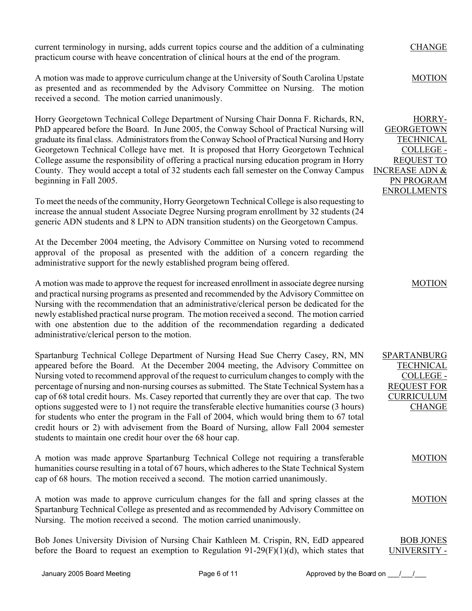current terminology in nursing, adds current topics course and the addition of a culminating practicum course with heave concentration of clinical hours at the end of the program.

A motion was made to approve curriculum change at the University of South Carolina Upstate as presented and as recommended by the Advisory Committee on Nursing. The motion received a second. The motion carried unanimously.

Horry Georgetown Technical College Department of Nursing Chair Donna F. Richards, RN, PhD appeared before the Board. In June 2005, the Conway School of Practical Nursing will graduate its final class. Administrators from the Conway School of Practical Nursing and Horry Georgetown Technical College have met. It is proposed that Horry Georgetown Technical College assume the responsibility of offering a practical nursing education program in Horry County. They would accept a total of 32 students each fall semester on the Conway Campus beginning in Fall 2005.

To meet the needs of the community, Horry Georgetown Technical College is also requesting to increase the annual student Associate Degree Nursing program enrollment by 32 students (24 generic ADN students and 8 LPN to ADN transition students) on the Georgetown Campus.

At the December 2004 meeting, the Advisory Committee on Nursing voted to recommend approval of the proposal as presented with the addition of a concern regarding the administrative support for the newly established program being offered.

A motion was made to approve the request for increased enrollment in associate degree nursing and practical nursing programs as presented and recommended by the Advisory Committee on Nursing with the recommendation that an administrative/clerical person be dedicated for the newly established practical nurse program. The motion received a second. The motion carried with one abstention due to the addition of the recommendation regarding a dedicated administrative/clerical person to the motion.

Spartanburg Technical College Department of Nursing Head Sue Cherry Casey, RN, MN appeared before the Board. At the December 2004 meeting, the Advisory Committee on Nursing voted to recommend approval of the request to curriculum changes to comply with the percentage of nursing and non-nursing courses as submitted. The State Technical System has a cap of 68 total credit hours. Ms. Casey reported that currently they are over that cap. The two options suggested were to 1) not require the transferable elective humanities course (3 hours) for students who enter the program in the Fall of 2004, which would bring them to 67 total credit hours or 2) with advisement from the Board of Nursing, allow Fall 2004 semester students to maintain one credit hour over the 68 hour cap.

A motion was made approve Spartanburg Technical College not requiring a transferable humanities course resulting in a total of 67 hours, which adheres to the State Technical System cap of 68 hours. The motion received a second. The motion carried unanimously.

A motion was made to approve curriculum changes for the fall and spring classes at the Spartanburg Technical College as presented and as recommended by Advisory Committee on Nursing. The motion received a second. The motion carried unanimously.

Bob Jones University Division of Nursing Chair Kathleen M. Crispin, RN, EdD appeared before the Board to request an exemption to Regulation  $91-29(F)(1)(d)$ , which states that

MOTION

HORRY-**GEORGETOWN** TECHNICAL COLLEGE - REQUEST TO INCREASE ADN & PN PROGRAM ENROLLMENTS

MOTION

SPARTANBURG TECHNICAL COLLEGE - REQUEST FOR CURRICULUM CHANGE

MOTION

MOTION

BOB JONES UNIVERSITY -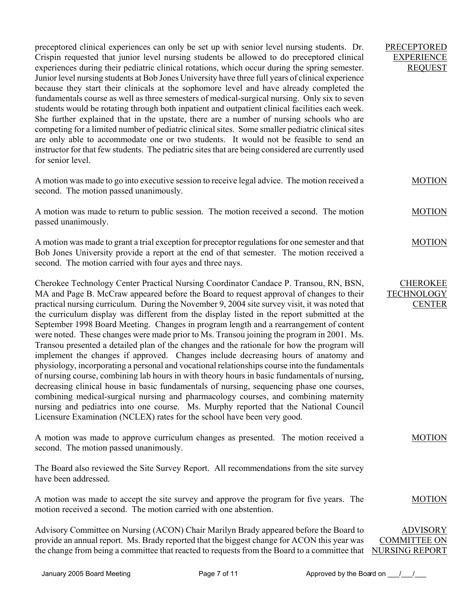preceptored clinical experiences can only be set up with senior level nursing students. Dr. Crispin requested that junior level nursing students be allowed to do preceptored clinical experiences during their pediatric clinical rotations, which occur during the spring semester. Junior level nursing students at Bob Jones University have three full years of clinical experience because they start their clinicals at the sophomore level and have already completed the fundamentals course as well as three semesters of medical-surgical nursing. Only six to seven students would be rotating through both inpatient and outpatient clinical facilities each week. She further explained that in the upstate, there are a number of nursing schools who are competing for a limited number of pediatric clinical sites. Some smaller pediatric clinical sites are only able to accommodate one or two students. It would not be feasible to send an instructor for that few students. The pediatric sites that are being considered are currently used for senior level.

A motion was made to go into executive session to receive legal advice. The motion received a second. The motion passed unanimously.

A motion was made to return to public session. The motion received a second. The motion passed unanimously.

A motion was made to grant a trial exception for preceptor regulations for one semester and that Bob Jones University provide a report at the end of that semester. The motion received a second. The motion carried with four ayes and three nays.

Cherokee Technology Center Practical Nursing Coordinator Candace P. Transou, RN, BSN, MA and Page B. McCraw appeared before the Board to request approval of changes to their practical nursing curriculum. During the November 9, 2004 site survey visit, it was noted that the curriculum display was different from the display listed in the report submitted at the September 1998 Board Meeting. Changes in program length and a rearrangement of content were noted. These changes were made prior to Ms. Transou joining the program in 2001. Ms. Transou presented a detailed plan of the changes and the rationale for how the program will implement the changes if approved. Changes include decreasing hours of anatomy and physiology, incorporating a personal and vocational relationships course into the fundamentals of nursing course, combining lab hours in with theory hours in basic fundamentals of nursing, decreasing clinical house in basic fundamentals of nursing, sequencing phase one courses, combining medical-surgical nursing and pharmacology courses, and combining maternity nursing and pediatrics into one course. Ms. Murphy reported that the National Council Licensure Examination (NCLEX) rates for the school have been very good.

A motion was made to approve curriculum changes as presented. The motion received a second. The motion passed unanimously.

The Board also reviewed the Site Survey Report. All recommendations from the site survey have been addressed.

A motion was made to accept the site survey and approve the program for five years. The motion received a second. The motion carried with one abstention.

Advisory Committee on Nursing (ACON) Chair Marilyn Brady appeared before the Board to provide an annual report. Ms. Brady reported that the biggest change for ACON this year was the change from being a committee that reacted to requests from the Board to a committee that NURSING REPORT

PRECEPTORED EXPERIENCE REQUEST

**MOTION** 

MOTION

MOTION

**CHEROKEE TECHNOLOGY** 

**CENTER** 

MOTION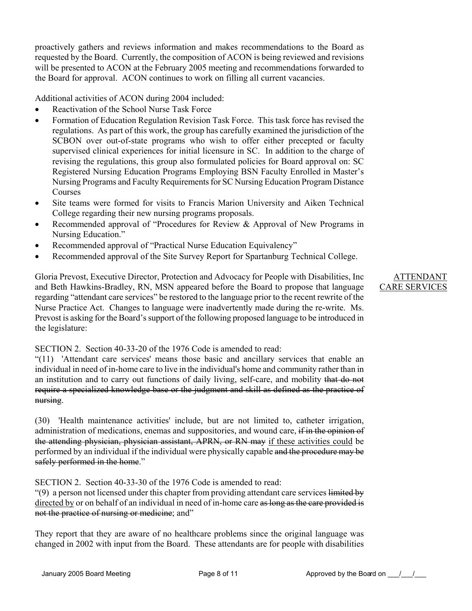proactively gathers and reviews information and makes recommendations to the Board as requested by the Board. Currently, the composition of ACON is being reviewed and revisions will be presented to ACON at the February 2005 meeting and recommendations forwarded to the Board for approval. ACON continues to work on filling all current vacancies.

Additional activities of ACON during 2004 included:

- Reactivation of the School Nurse Task Force
- Formation of Education Regulation Revision Task Force. This task force has revised the regulations. As part of this work, the group has carefully examined the jurisdiction of the SCBON over out-of-state programs who wish to offer either precepted or faculty supervised clinical experiences for initial licensure in SC. In addition to the charge of revising the regulations, this group also formulated policies for Board approval on: SC Registered Nursing Education Programs Employing BSN Faculty Enrolled in Master's Nursing Programs and Faculty Requirements for SC Nursing Education Program Distance Courses
- Site teams were formed for visits to Francis Marion University and Aiken Technical College regarding their new nursing programs proposals.
- Recommended approval of "Procedures for Review & Approval of New Programs in Nursing Education."
- Recommended approval of "Practical Nurse Education Equivalency"
- Recommended approval of the Site Survey Report for Spartanburg Technical College.

Gloria Prevost, Executive Director, Protection and Advocacy for People with Disabilities, Inc and Beth Hawkins-Bradley, RN, MSN appeared before the Board to propose that language regarding "attendant care services" be restored to the language prior to the recent rewrite of the Nurse Practice Act. Changes to language were inadvertently made during the re-write. Ms. Prevost is asking for the Board's support of the following proposed language to be introduced in the legislature:

SECTION 2. Section 40-33-20 of the 1976 Code is amended to read:

"(11) 'Attendant care services' means those basic and ancillary services that enable an individual in need of in-home care to live in the individual's home and community rather than in an institution and to carry out functions of daily living, self-care, and mobility that do not require a specialized knowledge base or the judgment and skill as defined as the practice of nursing.

(30) 'Health maintenance activities' include, but are not limited to, catheter irrigation, administration of medications, enemas and suppositories, and wound care, if in the opinion of the attending physician, physician assistant, APRN, or RN may if these activities could be performed by an individual if the individual were physically capable and the procedure may be safely performed in the home."

SECTION 2. Section 40-33-30 of the 1976 Code is amended to read:

"(9) a person not licensed under this chapter from providing attendant care services limited by directed by or on behalf of an individual in need of in-home care as long as the care provided is not the practice of nursing or medicine; and"

They report that they are aware of no healthcare problems since the original language was changed in 2002 with input from the Board. These attendants are for people with disabilities

ATTENDANT CARE SERVICES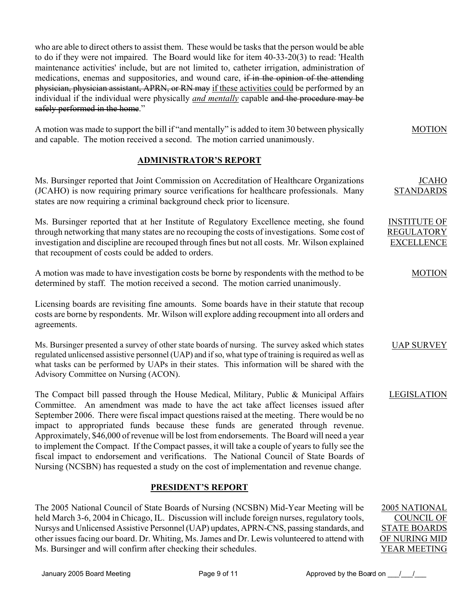who are able to direct others to assist them. These would be tasks that the person would be able to do if they were not impaired. The Board would like for item 40-33-20(3) to read: 'Health maintenance activities' include, but are not limited to, catheter irrigation, administration of medications, enemas and suppositories, and wound care, if in the opinion of the attending physician, physician assistant, APRN, or RN may if these activities could be performed by an individual if the individual were physically *and mentally* capable and the procedure may be safely performed in the home."

|                                                                            | A motion was made to support the bill if "and mentally" is added to item 30 between physically | <b>MOTION</b> |
|----------------------------------------------------------------------------|------------------------------------------------------------------------------------------------|---------------|
| and capable. The motion received a second. The motion carried unanimously. |                                                                                                |               |

# **ADMINISTRATOR'S REPORT**

Ms. Bursinger reported that Joint Commission on Accreditation of Healthcare Organizations (JCAHO) is now requiring primary source verifications for healthcare professionals. Many states are now requiring a criminal background check prior to licensure.

Ms. Bursinger reported that at her Institute of Regulatory Excellence meeting, she found through networking that many states are no recouping the costs of investigations. Some cost of investigation and discipline are recouped through fines but not all costs. Mr. Wilson explained that recoupment of costs could be added to orders.

A motion was made to have investigation costs be borne by respondents with the method to be determined by staff. The motion received a second. The motion carried unanimously.

Licensing boards are revisiting fine amounts. Some boards have in their statute that recoup costs are borne by respondents. Mr. Wilson will explore adding recoupment into all orders and agreements.

Ms. Bursinger presented a survey of other state boards of nursing. The survey asked which states regulated unlicensed assistive personnel (UAP) and if so, what type of training is required as well as what tasks can be performed by UAPs in their states. This information will be shared with the Advisory Committee on Nursing (ACON).

The Compact bill passed through the House Medical, Military, Public & Municipal Affairs Committee. An amendment was made to have the act take affect licenses issued after September 2006. There were fiscal impact questions raised at the meeting. There would be no impact to appropriated funds because these funds are generated through revenue. Approximately, \$46,000 of revenue will be lost from endorsements. The Board will need a year to implement the Compact. If the Compact passes, it will take a couple of years to fully see the fiscal impact to endorsement and verifications. The National Council of State Boards of Nursing (NCSBN) has requested a study on the cost of implementation and revenue change.

# **PRESIDENT'S REPORT**

The 2005 National Council of State Boards of Nursing (NCSBN) Mid-Year Meeting will be held March 3-6, 2004 in Chicago, IL. Discussion will include foreign nurses, regulatory tools, Nursys and Unlicensed Assistive Personnel (UAP) updates, APRN-CNS, passing standards, and other issues facing our board. Dr. Whiting, Ms. James and Dr. Lewis volunteered to attend with Ms. Bursinger and will confirm after checking their schedules.

2005 NATIONAL COUNCIL OF STATE BOARDS OF NURING MID YEAR MEETING

JCAHO

MOTION

UAP SURVEY

**LEGISLATION** 

STANDARDS

INSTITUTE OF REGULATORY EXCELLENCE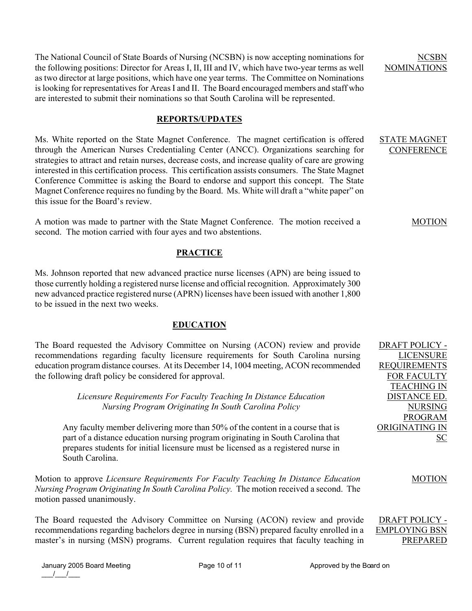The National Council of State Boards of Nursing (NCSBN) is now accepting nominations for the following positions: Director for Areas I, II, III and IV, which have two-year terms as well as two director at large positions, which have one year terms. The Committee on Nominations is looking for representatives for Areas I and II. The Board encouraged members and staff who are interested to submit their nominations so that South Carolina will be represented.

### **REPORTS/UPDATES**

Ms. White reported on the State Magnet Conference. The magnet certification is offered through the American Nurses Credentialing Center (ANCC). Organizations searching for strategies to attract and retain nurses, decrease costs, and increase quality of care are growing interested in this certification process. This certification assists consumers. The State Magnet Conference Committee is asking the Board to endorse and support this concept. The State Magnet Conference requires no funding by the Board. Ms. White will draft a "white paper" on this issue for the Board's review.

A motion was made to partner with the State Magnet Conference. The motion received a second. The motion carried with four ayes and two abstentions.

### **PRACTICE**

Ms. Johnson reported that new advanced practice nurse licenses (APN) are being issued to those currently holding a registered nurse license and official recognition. Approximately 300 new advanced practice registered nurse (APRN) licenses have been issued with another 1,800 to be issued in the next two weeks.

### **EDUCATION**

The Board requested the Advisory Committee on Nursing (ACON) review and provide recommendations regarding faculty licensure requirements for South Carolina nursing education program distance courses. At its December 14, 1004 meeting, ACON recommended the following draft policy be considered for approval.

> *Licensure Requirements For Faculty Teaching In Distance Education Nursing Program Originating In South Carolina Policy*

Any faculty member delivering more than 50% of the content in a course that is part of a distance education nursing program originating in South Carolina that prepares students for initial licensure must be licensed as a registered nurse in South Carolina.

Motion to approve *Licensure Requirements For Faculty Teaching In Distance Education Nursing Program Originating In South Carolina Policy.* The motion received a second. The motion passed unanimously.

The Board requested the Advisory Committee on Nursing (ACON) review and provide recommendations regarding bachelors degree in nursing (BSN) prepared faculty enrolled in a master's in nursing (MSN) programs. Current regulation requires that faculty teaching in DRAFT POLICY - EMPLOYING BSN PREPARED

January 2005 Board Meeting **Page 10 of 11** Approved by the Board on  $\frac{1}{2}$ 

NCSBN NOMINATIONS

STATE MAGNET **CONFERENCE** 

#### MOTION

DRAFT POLICY - LICENSURE REQUIREMENTS FOR FACULTY TEACHING IN DISTANCE ED. NURSING PROGRAM ORIGINATING IN SC